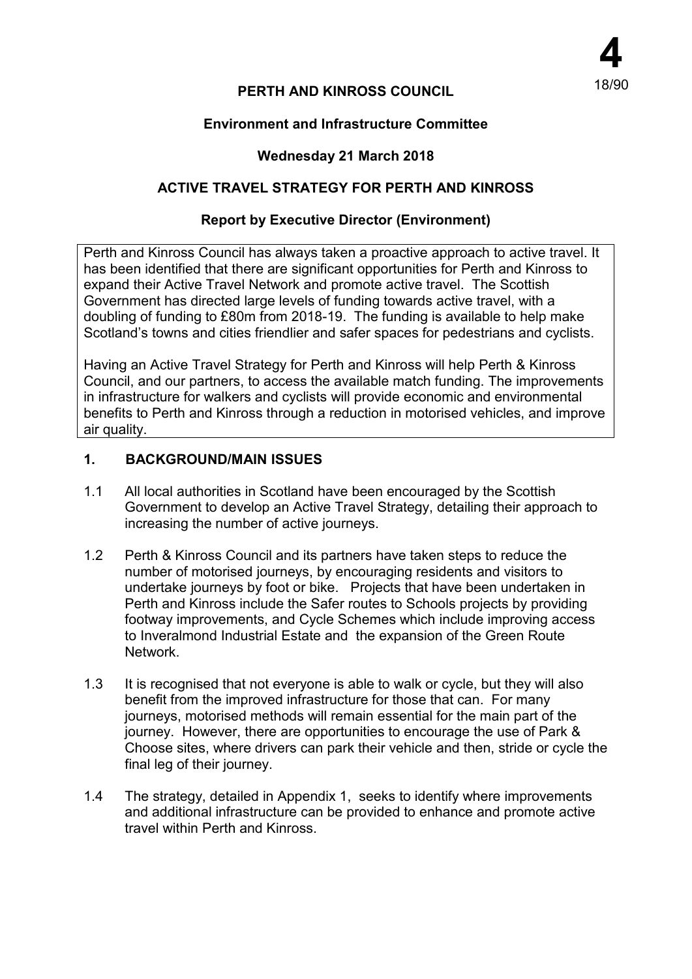# **PERTH AND KINROSS COUNCIL**

### **Environment and Infrastructure Committee**

## **Wednesday 21 March 2018**

### **ACTIVE TRAVEL STRATEGY FOR PERTH AND KINROSS**

#### **Report by Executive Director (Environment)**

Perth and Kinross Council has always taken a proactive approach to active travel. It has been identified that there are significant opportunities for Perth and Kinross to expand their Active Travel Network and promote active travel. The Scottish Government has directed large levels of funding towards active travel, with a doubling of funding to £80m from 2018-19. The funding is available to help make Scotland's towns and cities friendlier and safer spaces for pedestrians and cyclists.

Having an Active Travel Strategy for Perth and Kinross will help Perth & Kinross Council, and our partners, to access the available match funding. The improvements in infrastructure for walkers and cyclists will provide economic and environmental benefits to Perth and Kinross through a reduction in motorised vehicles, and improve air quality.

#### **1. BACKGROUND/MAIN ISSUES**

- 1.1 All local authorities in Scotland have been encouraged by the Scottish Government to develop an Active Travel Strategy, detailing their approach to increasing the number of active journeys.
- 1.2 Perth & Kinross Council and its partners have taken steps to reduce the number of motorised journeys, by encouraging residents and visitors to undertake journeys by foot or bike. Projects that have been undertaken in Perth and Kinross include the Safer routes to Schools projects by providing footway improvements, and Cycle Schemes which include improving access to Inveralmond Industrial Estate and the expansion of the Green Route Network.
- 1.3 It is recognised that not everyone is able to walk or cycle, but they will also benefit from the improved infrastructure for those that can. For many journeys, motorised methods will remain essential for the main part of the journey. However, there are opportunities to encourage the use of Park & Choose sites, where drivers can park their vehicle and then, stride or cycle the final leg of their journey.
- 1.4 The strategy, detailed in Appendix 1, seeks to identify where improvements and additional infrastructure can be provided to enhance and promote active travel within Perth and Kinross.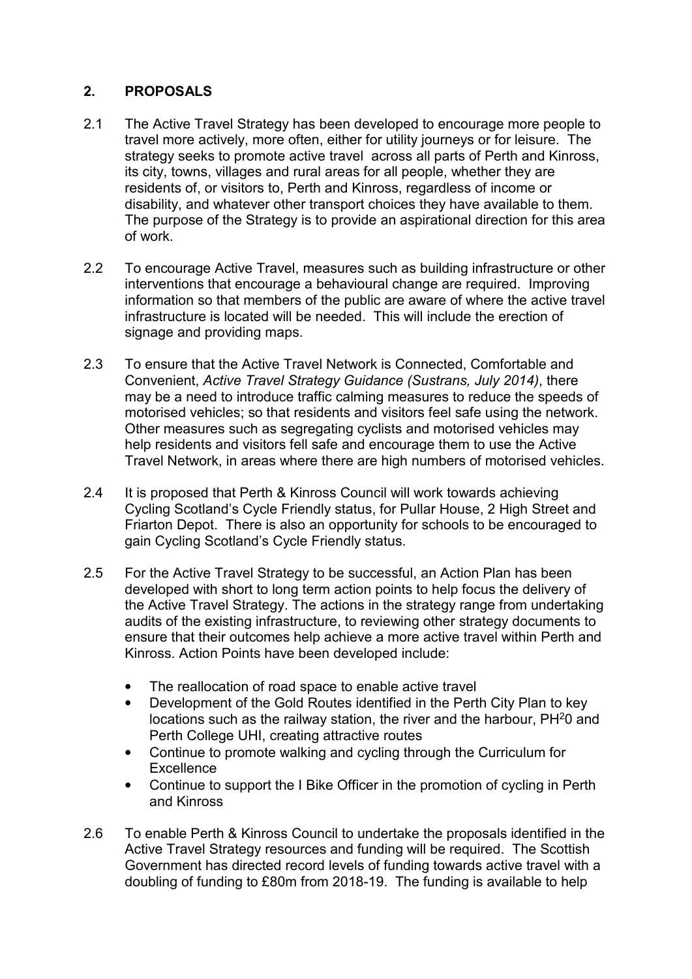# **2. PROPOSALS**

- 2.1 The Active Travel Strategy has been developed to encourage more people to travel more actively, more often, either for utility journeys or for leisure. The strategy seeks to promote active travel across all parts of Perth and Kinross, its city, towns, villages and rural areas for all people, whether they are residents of, or visitors to, Perth and Kinross, regardless of income or disability, and whatever other transport choices they have available to them. The purpose of the Strategy is to provide an aspirational direction for this area of work.
- 2.2 To encourage Active Travel, measures such as building infrastructure or other interventions that encourage a behavioural change are required. Improving information so that members of the public are aware of where the active travel infrastructure is located will be needed. This will include the erection of signage and providing maps.
- 2.3 To ensure that the Active Travel Network is Connected, Comfortable and Convenient, *Active Travel Strategy Guidance (Sustrans, July 2014)*, there may be a need to introduce traffic calming measures to reduce the speeds of motorised vehicles; so that residents and visitors feel safe using the network. Other measures such as segregating cyclists and motorised vehicles may help residents and visitors fell safe and encourage them to use the Active Travel Network, in areas where there are high numbers of motorised vehicles.
- 2.4 It is proposed that Perth & Kinross Council will work towards achieving Cycling Scotland's Cycle Friendly status, for Pullar House, 2 High Street and Friarton Depot. There is also an opportunity for schools to be encouraged to gain Cycling Scotland's Cycle Friendly status.
- 2.5 For the Active Travel Strategy to be successful, an Action Plan has been developed with short to long term action points to help focus the delivery of the Active Travel Strategy. The actions in the strategy range from undertaking audits of the existing infrastructure, to reviewing other strategy documents to ensure that their outcomes help achieve a more active travel within Perth and Kinross. Action Points have been developed include:
	- The reallocation of road space to enable active travel
	- Development of the Gold Routes identified in the Perth City Plan to key locations such as the railway station, the river and the harbour, PH<sup>2</sup>0 and Perth College UHI, creating attractive routes
	- Continue to promote walking and cycling through the Curriculum for **Excellence**
	- Continue to support the I Bike Officer in the promotion of cycling in Perth and Kinross
- 2.6 To enable Perth & Kinross Council to undertake the proposals identified in the Active Travel Strategy resources and funding will be required. The Scottish Government has directed record levels of funding towards active travel with a doubling of funding to £80m from 2018-19. The funding is available to help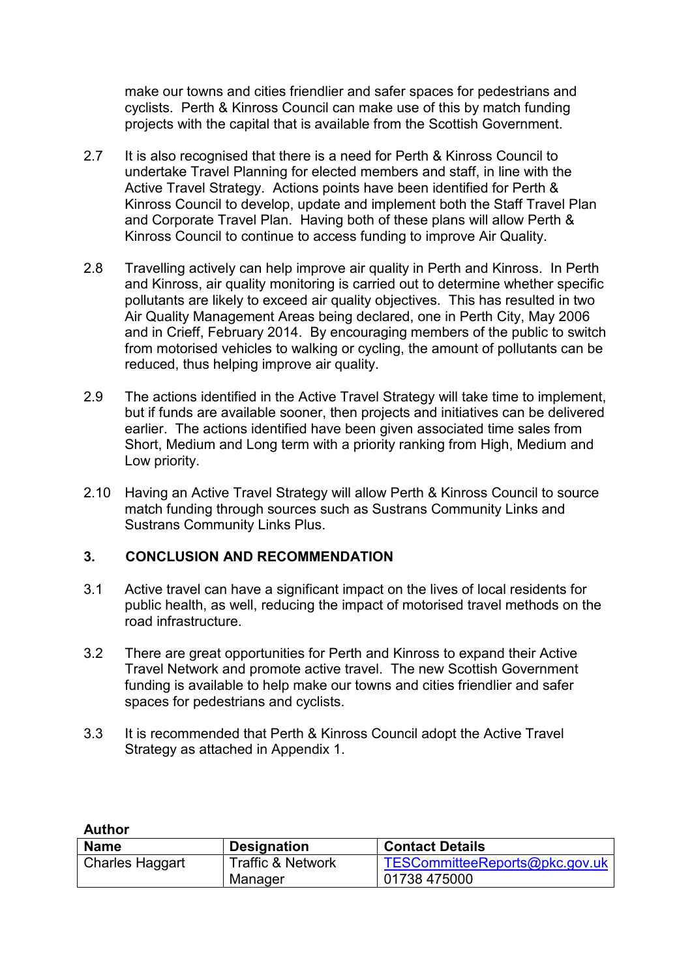make our towns and cities friendlier and safer spaces for pedestrians and cyclists. Perth & Kinross Council can make use of this by match funding projects with the capital that is available from the Scottish Government.

- 2.7 It is also recognised that there is a need for Perth & Kinross Council to undertake Travel Planning for elected members and staff, in line with the Active Travel Strategy. Actions points have been identified for Perth & Kinross Council to develop, update and implement both the Staff Travel Plan and Corporate Travel Plan. Having both of these plans will allow Perth & Kinross Council to continue to access funding to improve Air Quality.
- 2.8 Travelling actively can help improve air quality in Perth and Kinross. In Perth and Kinross, air quality monitoring is carried out to determine whether specific pollutants are likely to exceed air quality objectives. This has resulted in two Air Quality Management Areas being declared, one in Perth City, May 2006 and in Crieff, February 2014. By encouraging members of the public to switch from motorised vehicles to walking or cycling, the amount of pollutants can be reduced, thus helping improve air quality.
- 2.9 The actions identified in the Active Travel Strategy will take time to implement, but if funds are available sooner, then projects and initiatives can be delivered earlier. The actions identified have been given associated time sales from Short, Medium and Long term with a priority ranking from High, Medium and Low priority.
- 2.10 Having an Active Travel Strategy will allow Perth & Kinross Council to source match funding through sources such as Sustrans Community Links and Sustrans Community Links Plus.

# **3. CONCLUSION AND RECOMMENDATION**

**Author** 

- 3.1 Active travel can have a significant impact on the lives of local residents for public health, as well, reducing the impact of motorised travel methods on the road infrastructure.
- 3.2 There are great opportunities for Perth and Kinross to expand their Active Travel Network and promote active travel. The new Scottish Government funding is available to help make our towns and cities friendlier and safer spaces for pedestrians and cyclists.
- 3.3 It is recommended that Perth & Kinross Council adopt the Active Travel Strategy as attached in Appendix 1.

| Author                 |                              |                                |  |  |
|------------------------|------------------------------|--------------------------------|--|--|
| <b>Name</b>            | <b>Designation</b>           | <b>Contact Details</b>         |  |  |
| <b>Charles Haggart</b> | <b>Traffic &amp; Network</b> | TESCommitteeReports@pkc.gov.uk |  |  |
|                        | Manager                      | 01738 475000                   |  |  |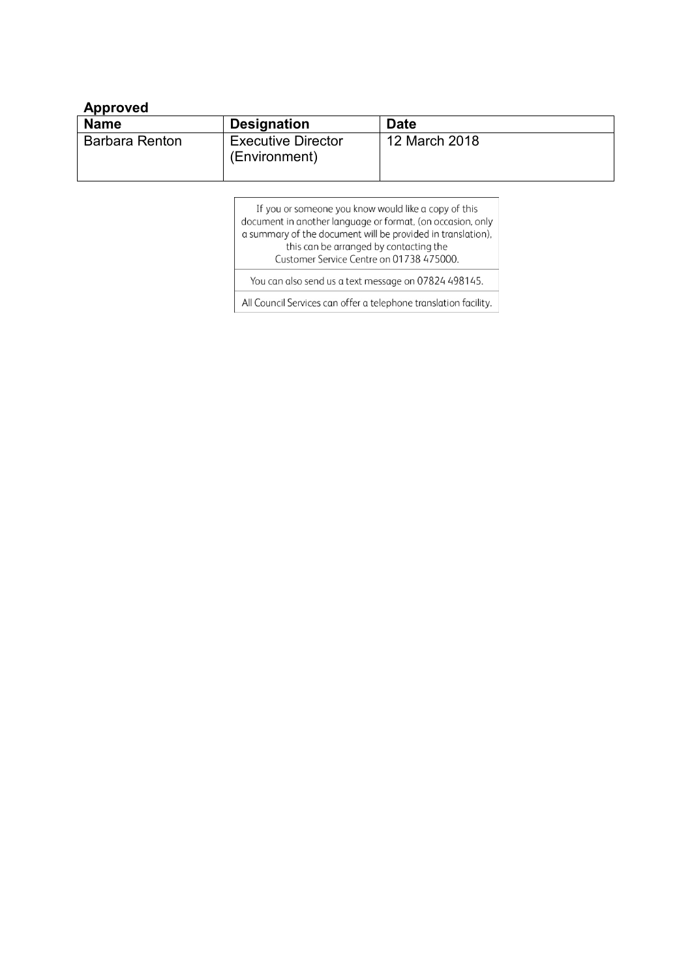### **Approved**

| <b>Name</b>    | <b>Designation</b>                         | <b>Date</b>   |
|----------------|--------------------------------------------|---------------|
| Barbara Renton | <b>Executive Director</b><br>(Environment) | 12 March 2018 |

If you or someone you know would like a copy of this document in another language or format, (on occasion, only a summary of the document will be provided in translation), this can be arranged by contacting the Customer Service Centre on 01738 475000. You can also send us a text message on 07824 498145.

All Council Services can offer a telephone translation facility.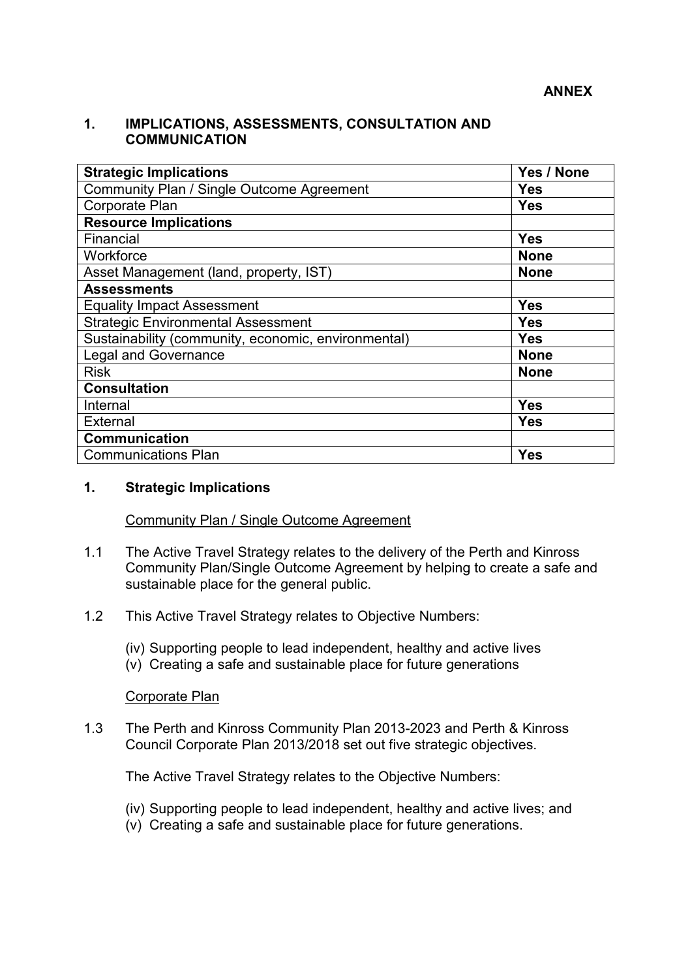#### **1. IMPLICATIONS, ASSESSMENTS, CONSULTATION AND COMMUNICATION**

| <b>Strategic Implications</b>                       | Yes / None  |
|-----------------------------------------------------|-------------|
| Community Plan / Single Outcome Agreement           | <b>Yes</b>  |
| Corporate Plan                                      | Yes         |
| <b>Resource Implications</b>                        |             |
| Financial                                           | <b>Yes</b>  |
| Workforce                                           | <b>None</b> |
| Asset Management (land, property, IST)              | <b>None</b> |
| <b>Assessments</b>                                  |             |
| <b>Equality Impact Assessment</b>                   | <b>Yes</b>  |
| <b>Strategic Environmental Assessment</b>           | <b>Yes</b>  |
| Sustainability (community, economic, environmental) | <b>Yes</b>  |
| <b>Legal and Governance</b>                         | <b>None</b> |
| <b>Risk</b>                                         | <b>None</b> |
| <b>Consultation</b>                                 |             |
| Internal                                            | <b>Yes</b>  |
| <b>External</b>                                     | <b>Yes</b>  |
| <b>Communication</b>                                |             |
| <b>Communications Plan</b>                          | <b>Yes</b>  |

#### **1. Strategic Implications**

#### Community Plan / Single Outcome Agreement

- 1.1 The Active Travel Strategy relates to the delivery of the Perth and Kinross Community Plan/Single Outcome Agreement by helping to create a safe and sustainable place for the general public.
- 1.2 This Active Travel Strategy relates to Objective Numbers:
	- (iv) Supporting people to lead independent, healthy and active lives
	- (v) Creating a safe and sustainable place for future generations

#### Corporate Plan

1.3 The Perth and Kinross Community Plan 2013-2023 and Perth & Kinross Council Corporate Plan 2013/2018 set out five strategic objectives.

The Active Travel Strategy relates to the Objective Numbers:

- (iv) Supporting people to lead independent, healthy and active lives; and
- (v) Creating a safe and sustainable place for future generations.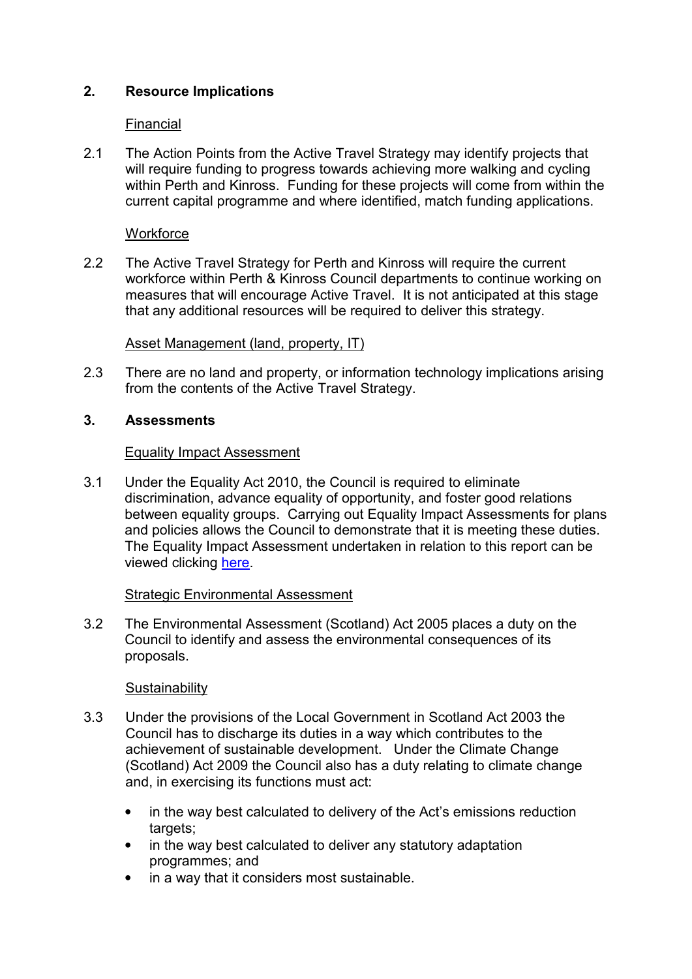# **2. Resource Implications**

## Financial

2.1 The Action Points from the Active Travel Strategy may identify projects that will require funding to progress towards achieving more walking and cycling within Perth and Kinross. Funding for these projects will come from within the current capital programme and where identified, match funding applications.

## **Workforce**

2.2 The Active Travel Strategy for Perth and Kinross will require the current workforce within Perth & Kinross Council departments to continue working on measures that will encourage Active Travel. It is not anticipated at this stage that any additional resources will be required to deliver this strategy.

# Asset Management (land, property, IT)

2.3 There are no land and property, or information technology implications arising from the contents of the Active Travel Strategy.

# **3. Assessments**

### Equality Impact Assessment

 3.1 Under the Equality Act 2010, the Council is required to eliminate discrimination, advance equality of opportunity, and foster good relations between equality groups. Carrying out Equality Impact Assessments for plans and policies allows the Council to demonstrate that it is meeting these duties. The Equality Impact Assessment undertaken in relation to this report can be viewed clicking [here.](http://www.pkc.gov.uk/EqIA)

# Strategic Environmental Assessment

3.2 The Environmental Assessment (Scotland) Act 2005 places a duty on the Council to identify and assess the environmental consequences of its proposals.

# **Sustainability**

- 3.3 Under the provisions of the Local Government in Scotland Act 2003 the Council has to discharge its duties in a way which contributes to the achievement of sustainable development. Under the Climate Change (Scotland) Act 2009 the Council also has a duty relating to climate change and, in exercising its functions must act:
	- in the way best calculated to delivery of the Act's emissions reduction targets:
	- in the way best calculated to deliver any statutory adaptation programmes; and
	- in a way that it considers most sustainable.